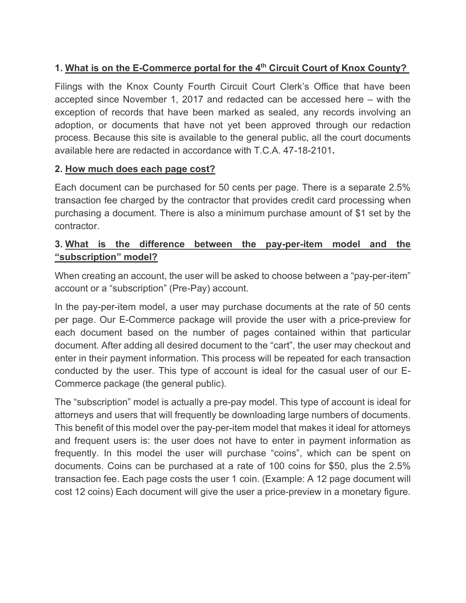# **1. What is on the E-Commerce portal for the 4th Circuit Court of Knox County?**

Filings with the Knox County Fourth Circuit Court Clerk's Office that have been accepted since November 1, 2017 and redacted can be accessed here – with the exception of records that have been marked as sealed, any records involving an adoption, or documents that have not yet been approved through our redaction process. Because this site is available to the general public, all the court documents available here are redacted in accordance with T.C.A. 47-18-2101**.**

### **2. How much does each page cost?**

Each document can be purchased for 50 cents per page. There is a separate 2.5% transaction fee charged by the contractor that provides credit card processing when purchasing a document. There is also a minimum purchase amount of \$1 set by the contractor.

## **3. What is the difference between the pay-per-item model and the "subscription" model?**

When creating an account, the user will be asked to choose between a "pay-per-item" account or a "subscription" (Pre-Pay) account.

In the pay-per-item model, a user may purchase documents at the rate of 50 cents per page. Our E-Commerce package will provide the user with a price-preview for each document based on the number of pages contained within that particular document. After adding all desired document to the "cart", the user may checkout and enter in their payment information. This process will be repeated for each transaction conducted by the user. This type of account is ideal for the casual user of our E-Commerce package (the general public).

The "subscription" model is actually a pre-pay model. This type of account is ideal for attorneys and users that will frequently be downloading large numbers of documents. This benefit of this model over the pay-per-item model that makes it ideal for attorneys and frequent users is: the user does not have to enter in payment information as frequently. In this model the user will purchase "coins", which can be spent on documents. Coins can be purchased at a rate of 100 coins for \$50, plus the 2.5% transaction fee. Each page costs the user 1 coin. (Example: A 12 page document will cost 12 coins) Each document will give the user a price-preview in a monetary figure.